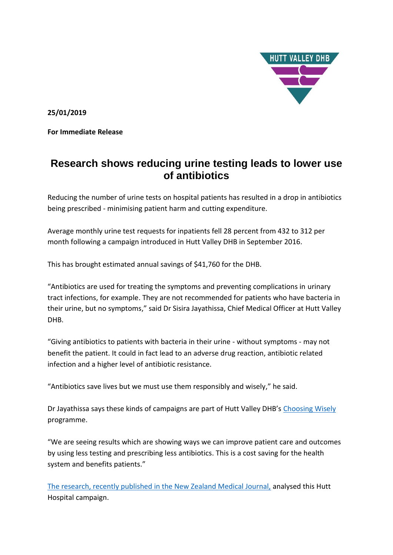

**25/01/2019**

**For Immediate Release** 

## **Research shows reducing urine testing leads to lower use of antibiotics**

Reducing the number of urine tests on hospital patients has resulted in a drop in antibiotics being prescribed - minimising patient harm and cutting expenditure.

Average monthly urine test requests for inpatients fell 28 percent from 432 to 312 per month following a campaign introduced in Hutt Valley DHB in September 2016.

This has brought estimated annual savings of \$41,760 for the DHB.

"Antibiotics are used for treating the symptoms and preventing complications in urinary tract infections, for example. They are not recommended for patients who have bacteria in their urine, but no symptoms," said Dr Sisira Jayathissa, Chief Medical Officer at Hutt Valley DHB.

"Giving antibiotics to patients with bacteria in their urine - without symptoms - may not benefit the patient. It could in fact lead to an adverse drug reaction, antibiotic related infection and a higher level of antibiotic resistance.

"Antibiotics save lives but we must use them responsibly and wisely," he said.

Dr Jayathissa says these kinds of campaigns are part of Hutt Valley DHB's [Choosing Wisely](https://choosingwisely.org.nz/) programme.

"We are seeing results which are showing ways we can improve patient care and outcomes by using less testing and prescribing less antibiotics. This is a cost saving for the health system and benefits patients."

[The research, recently published in the New Zealand Medical Journal,](https://www.nzma.org.nz/journal/read-the-journal/all-issues/2010-2019/2019/vol-132-no-1488-18-january-2019/7781) analysed this Hutt Hospital campaign.